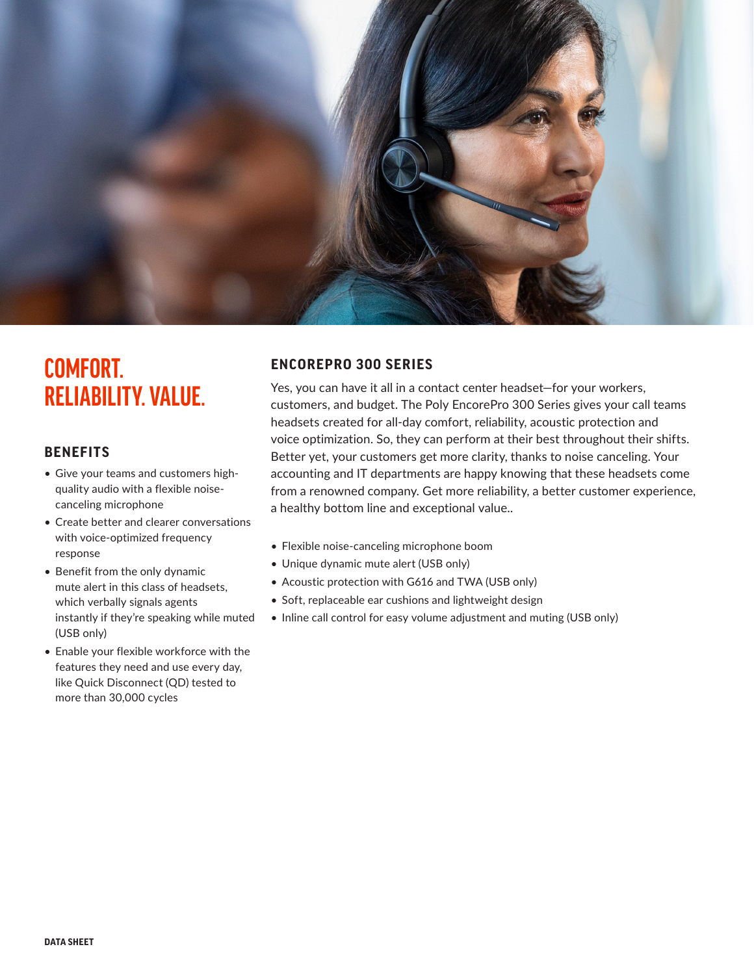

# **COMFORT. RELIABILITY.VALUE.**

### **BENEFITS**

- Give your teams and customers highquality audio with a flexible noisecanceling microphone
- Create better and clearer conversations with voice-optimized frequency response
- Benefit from the only dynamic mute alert in this class of headsets, which verbally signals agents instantly if they're speaking while muted (USB only)
- Enable your flexible workforce with the features they need and use every day, like Quick Disconnect (QD) tested to more than 30,000 cycles

## **ENCOREPRO 300 SERIES**

Yes, you can have it all in a contact center headset—for your workers, customers, and budget. The Poly EncorePro 300 Series gives your call teams headsets created for all-day comfort, reliability, acoustic protection and voice optimization. So, they can perform at their best throughout their shifts. Better yet, your customers get more clarity, thanks to noise canceling. Your accounting and IT departments are happy knowing that these headsets come from a renowned company. Get more reliability, a better customer experience, a healthy bottom line and exceptional value..

- Flexible noise-canceling microphone boom
- Unique dynamic mute alert (USB only)
- Acoustic protection with G616 and TWA (USB only)
- Soft, replaceable ear cushions and lightweight design
- Inline call control for easy volume adjustment and muting (USB only)